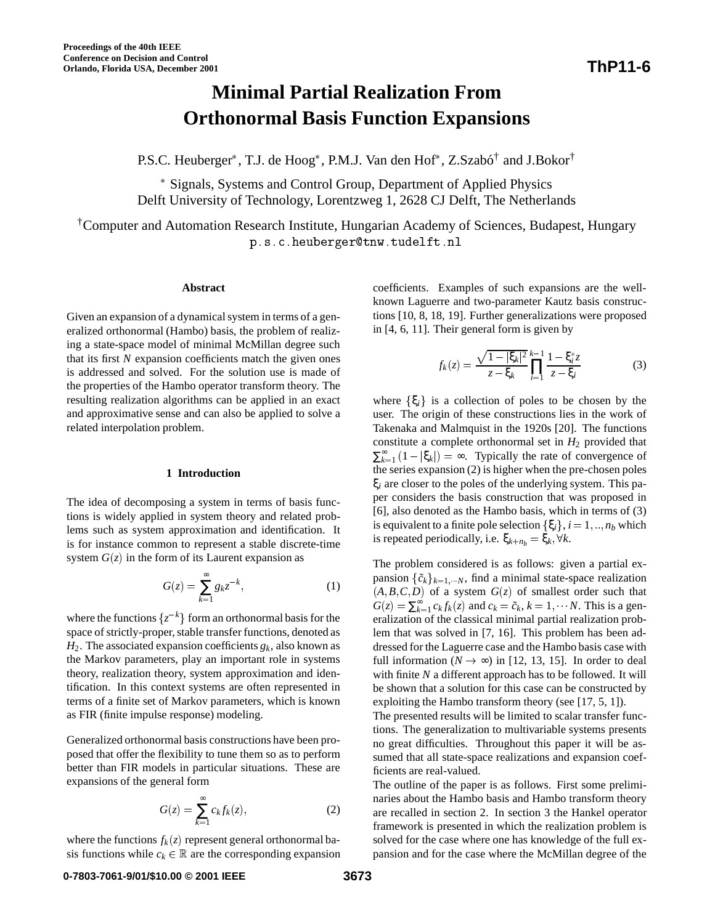# **Minimal Partial Realization From Orthonormal Basis Function Expansions**

P.S.C. Heuberger<sup>\*</sup>, T.J. de Hoog<sup>\*</sup>, P.M.J. Van den Hof<sup>\*</sup>, Z.Szabó<sup>†</sup> and J.Bokor<sup>†</sup>

 Signals, Systems and Control Group, Department of Applied Physics Delft University of Technology, Lorentzweg 1, 2628 CJ Delft, The Netherlands

†Computer and Automation Research Institute, Hungarian Academy of Sciences, Budapest, Hungary p.s.c.heuberger@tnw.tudelft.nl

## **Abstract**

Given an expansion of a dynamical system in terms of a generalized orthonormal (Hambo) basis, the problem of realizing a state-space model of minimal McMillan degree such that its first *N* expansion coefficients match the given ones is addressed and solved. For the solution use is made of the properties of the Hambo operator transform theory. The resulting realization algorithms can be applied in an exact and approximative sense and can also be applied to solve a related interpolation problem. **Proceeding of the 40th EEEE**<br> **367 Conteresce on Decision and Control**<br> **367 3881 <b>Proceedings 3681**<br> **367 3881**<br> **3681**<br> **3681**<br> **3881**<br> **3881**<br> **3881**<br> **3881**<br> **3881**<br> **3881**<br> **3881**<br> **3881**<br> **3881**<br> **3881**<br> **3** 

## **1 Introduction**

The idea of decomposing a system in terms of basis functions is widely applied in system theory and related problems such as system approximation and identification. It is for instance common to represent a stable discrete-time system  $G(z)$  in the form of its Laurent expansion as

$$
G(z) = \sum_{k=1}^{\infty} g_k z^{-k},\tag{1}
$$

where the functions  $\{z^{-k}\}\$  form an orthonormal basis for the space of strictly-proper, stable transfer functions, denoted as  $H_2$ . The associated expansion coefficients  $g_k$ , also known as the Markov parameters, play an important role in systems theory, realization theory, system approximation and identification. In this context systems are often represented in terms of a finite set of Markov parameters, which is known as FIR (finite impulse response) modeling.

Generalized orthonormal basis constructions have been proposed that offer the flexibility to tune them so as to perform better than FIR models in particular situations. These are expansions of the general form

$$
G(z) = \sum_{k=1}^{\infty} c_k f_k(z),
$$
 (2)

where the functions  $f_k(z)$  represent general orthonormal basis functions while  $c_k \in \mathbb{R}$  are the corresponding expansion coefficients. Examples of such expansions are the wellknown Laguerre and two-parameter Kautz basis constructions [10, 8, 18, 19]. Further generalizations were proposed in [4, 6, 11]. Their general form is given by

$$
f_k(z) = \frac{\sqrt{1 - |\xi_k|^2}}{z - \xi_k} \prod_{i=1}^{k-1} \frac{1 - \xi_i^* z}{z - \xi_i}
$$
(3)

where  $\{\xi_i\}$  is a collection of poles to be chosen by the user. The origin of these constructions lies in the work of Takenaka and Malmquist in the 1920s [20]. The functions constitute a complete orthonormal set in  $H_2$  provided that  $\sum_{k=1}^{\infty} (1 - |\xi_k|) = \infty$ . Typically the rate of convergence of the series expansion (2) is higher when the pre-chosen poles ξ*<sup>i</sup>* are closer to the poles of the underlying system. This paper considers the basis construction that was proposed in [6], also denoted as the Hambo basis, which in terms of (3) is equivalent to a finite pole selection  $\{\xi_i\}$ ,  $i = 1, \dots, n_b$  which is repeated periodically, i.e.  $\xi_{k+n_b} = \xi_k, \forall k$ .

The problem considered is as follows: given a partial expansion  $\{\tilde{c}_k\}_{k=1,\dots,N}$ , find a minimal state-space realization  $(A, B, C, D)$  of a system  $G(z)$  of smallest order such that  $G(z) = \sum_{k=1}^{\infty} c_k f_k(z)$  and  $c_k = \tilde{c}_k$ ,  $k = 1, \dots N$ . This is a generalization of the classical minimal partial realization problem that was solved in [7, 16]. This problem has been addressed for the Laguerre case and the Hambo basis case with full information ( $N \rightarrow \infty$ ) in [12, 13, 15]. In order to deal with finite *N* a different approach has to be followed. It will be shown that a solution for this case can be constructed by exploiting the Hambo transform theory (see [17, 5, 1]).

The presented results will be limited to scalar transfer functions. The generalization to multivariable systems presents no great difficulties. Throughout this paper it will be assumed that all state-space realizations and expansion coefficients are real-valued.

The outline of the paper is as follows. First some preliminaries about the Hambo basis and Hambo transform theory are recalled in section 2. In section 3 the Hankel operator framework is presented in which the realization problem is solved for the case where one has knowledge of the full expansion and for the case where the McMillan degree of the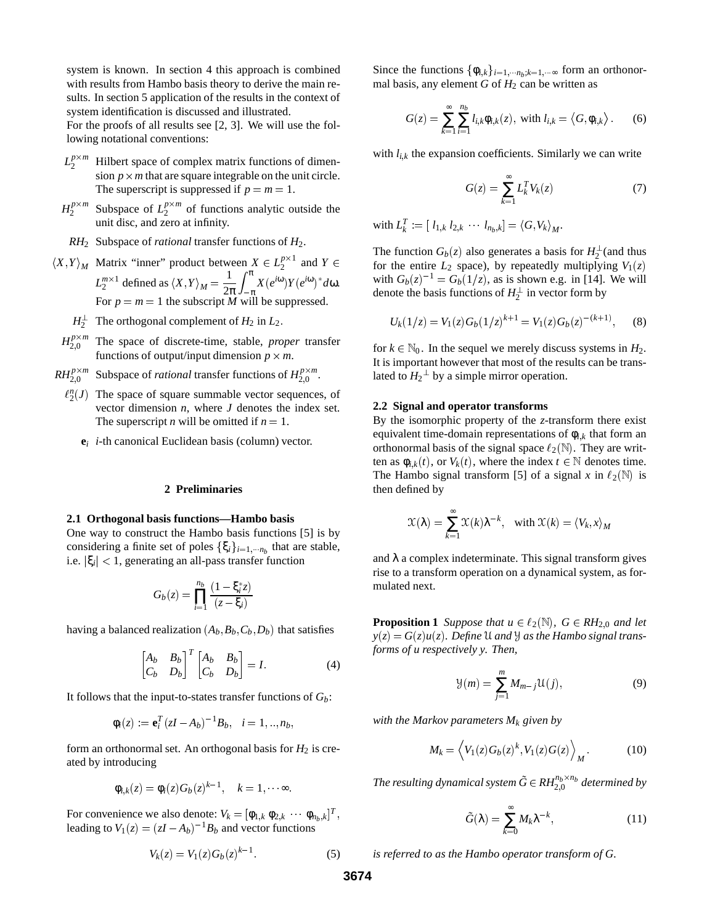system is known. In section 4 this approach is combined with results from Hambo basis theory to derive the main results. In section 5 application of the results in the context of system identification is discussed and illustrated.

For the proofs of all results see [2, 3]. We will use the following notational conventions:

- $L_2^{p \times m}$ Hilbert space of complex matrix functions of dimension  $p \times m$  that are square integrable on the unit circle. The superscript is suppressed if  $p = m = 1$ .
- $H_2^{p \times m}$  Subspace of  $L_2^{p \times m}$  of functions analytic outside the unit disc, and zero at infinity.
- *RH*<sup>2</sup> Subspace of *rational* transfer functions of *H*2.
- $\langle X, Y \rangle_M$  Matrix "inner" product between  $X \in L_2^{p \times 1}$  and  $Y \in$  for the  $L_2^{m \times 1}$  defined as  $\langle X, Y \rangle_M = \frac{1}{2\pi} \int_{-\infty}^{\infty} X(e^{i\omega})$  $\frac{1}{2\pi}\int_{-\pi}^{\pi} X(e^{i\omega})$  $\int_{-\pi}^{\infty} X(e^{i\omega}) Y(e^{i\omega})^* d\omega.$ For  $p = m = 1$  the subscript M will be suppressed.
	- $H_2^{\perp}$  The orthogonal complement of  $H_2$  in  $L_2$ .
- $H_{2,0}^{p \times m}$  The space of discrete-time, stable, *proper* transfer functions of output/input dimension  $p \times m$ .
- $RH_{2,0}^{p\times m}$  Subspace of *rational* transfer functions of  $H_{2,0}^{p\times m}$ .
	- $\ell_2^n(J)$  The space of square summable vector sequences, of vector dimension *n*, where *J* denotes the index set. The superscript *n* will be omitted if  $n = 1$ .
		- **e***<sup>i</sup> i*-th canonical Euclidean basis (column) vector.

#### **2 Preliminaries**

# **2.1 Orthogonal basis functions—Hambo basis**

One way to construct the Hambo basis functions [5] is by considering a finite set of poles  $\{\xi_i\}_{i=1,\dots,n_b}$  that are stable, i.e.  $|\xi_i|$  < 1, generating an all-pass transfer function

$$
G_b(z) = \prod_{i=1}^{n_b} \frac{(1 - \xi_i^* z)}{(z - \xi_i)}
$$

having a balanced realization  $(A_b, B_b, C_b, D_b)$  that satisfies

$$
\begin{bmatrix} A_b & B_b \\ C_b & D_b \end{bmatrix}^T \begin{bmatrix} A_b & B_b \\ C_b & D_b \end{bmatrix} = I. \tag{4}
$$

It follows that the input-to-states transfer functions of  $G<sub>b</sub>$ :

$$
\phi_i(z) := \mathbf{e}_i^T (zI - A_b)^{-1} B_b, \quad i = 1, ..., n_b,
$$

form an orthonormal set. An orthogonal basis for *H*<sup>2</sup> is created by introducing

$$
\phi_{i,k}(z) = \phi_i(z) G_b(z)^{k-1}, \quad k = 1, \dots \infty.
$$

For convenience we also denote:  $V_k = [\phi_{1,k} \ \phi_{2,k} \ \cdots \ \phi_{n_b,k}]^T$ , leading to  $V_1(z) = (zI - A_b)^{-1}B_b$  and vector functions

$$
V_k(z) = V_1(z)G_b(z)^{k-1}.
$$
 (5)

Since the functions  $\{\phi_{i,k}\}_{i=1,\cdots,n_b;k=1,\cdots\infty}$  form an orthonormal basis, any element  $G$  of  $H_2$  can be written as

$$
G(z) = \sum_{k=1}^{\infty} \sum_{i=1}^{n_b} l_{i,k} \phi_{i,k}(z), \text{ with } l_{i,k} = \langle G, \phi_{i,k} \rangle. \qquad (6)
$$

with  $l_{i,k}$  the expansion coefficients. Similarly we can write

$$
G(z) = \sum_{k=1}^{\infty} L_k^T V_k(z)
$$
 (7)

 $\text{with } L_k^T := [ l_{1,k} \ l_{2,k} \ \cdots \ l_{n_b,k} ] = \langle G, V_k \rangle_M.$ 

The function  $G_b(z)$  also generates a basis for  $H_2^{\perp}$  (and thus for the entire  $L_2$  space), by repeatedly multiplying  $V_1(z)$ with  $G_b(z)^{-1} = G_b(1/z)$ , as is shown e.g. in [14]. We will denote the basis functions of  $H_2^{\perp}$  in vector form by

$$
U_k(1/z) = V_1(z)G_b(1/z)^{k+1} = V_1(z)G_b(z)^{-(k+1)},
$$
 (8)

for  $k \in \mathbb{N}_0$ . In the sequel we merely discuss systems in  $H_2$ . It is important however that most of the results can be translated to  $H_2^{\perp}$  by a simple mirror operation.

### **2.2 Signal and operator transforms**

By the isomorphic property of the *z*-transform there exist equivalent time-domain representations of φ*i*;*<sup>k</sup>* that form an orthonormal basis of the signal space  $\ell_2(\mathbb{N})$ . They are written as  $\phi_{i,k}(t)$ , or  $V_k(t)$ , where the index  $t \in \mathbb{N}$  denotes time. The Hambo signal transform [5] of a signal *x* in  $\ell_2(N)$  is then defined by

$$
\mathcal{X}(\lambda) = \sum_{k=1}^{\infty} \mathcal{X}(k) \lambda^{-k}, \quad \text{with } \mathcal{X}(k) = \langle V_k, x \rangle_M
$$

and  $\lambda$  a complex indeterminate. This signal transform gives rise to a transform operation on a dynamical system, as formulated next.

**Proposition 1** *Suppose that*  $u \in \ell_2(\mathbb{N})$ *,*  $G \in RH_{2,0}$  *and let*  $y(z) = G(z)u(z)$ . Define U *and Y as the Hambo signal transforms of u respectively y. Then,*

$$
\mathcal{Y}(m) = \sum_{j=1}^{m} M_{m-j} \mathcal{U}(j),\tag{9}
$$

*with the Markov parameters*  $M_k$  *given by* 

$$
M_k = \left\langle V_1(z)G_b(z)^k, V_1(z)G(z) \right\rangle_M \tag{10}
$$

The resulting dynamical system  $\tilde{G}$   $\in$   $RH_{2,0}^{n_b \times n_b}$  determined by

$$
\tilde{G}(\lambda) = \sum_{k=0}^{\infty} M_k \lambda^{-k},\tag{11}
$$

*is referred to as the Hambo operator transform of G.*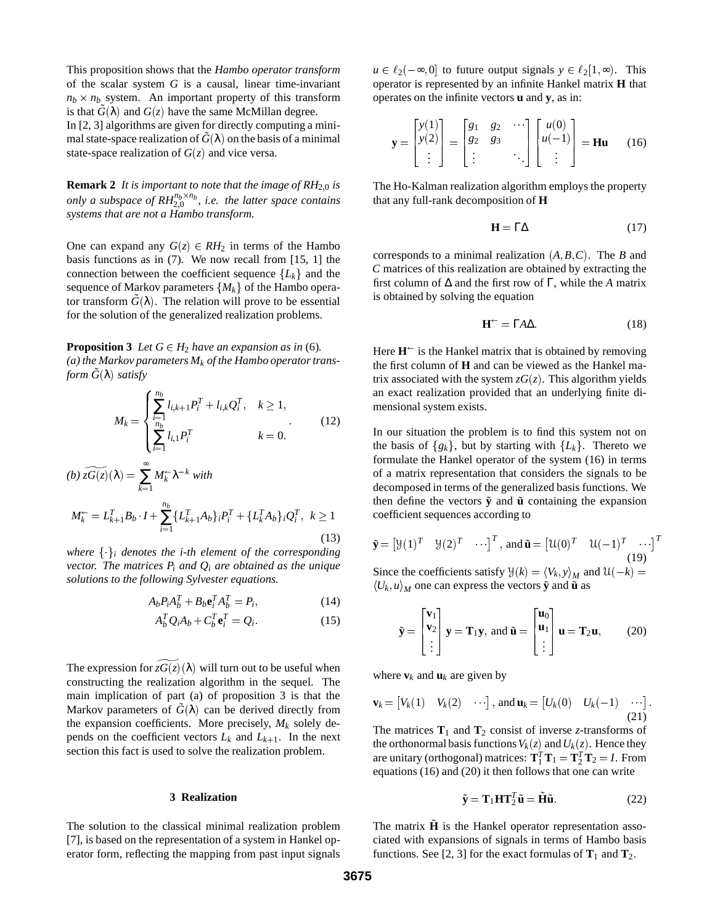This proposition shows that the *Hambo operator transform* of the scalar system *G* is a causal, linear time-invariant  $n_b \times n_b$  system. An important property of this transform is that  $\tilde{G}(\lambda)$  and  $G(z)$  have the same McMillan degree.

In [2, 3] algorithms are given for directly computing a minimal state-space realization of  $\tilde{G}(\lambda)$  on the basis of a minimal state-space realization of  $G(z)$  and vice versa.

**Remark 2** *It is important to note that the image of*  $RH_{2,0}$  *is only a subspace of*  $RH^{n_b \times n_b}_{2,0}$ *, i.e. the latter space contains systems that are not a Hambo transform.*

One can expand any  $G(z) \in RH_2$  in terms of the Hambo basis functions as in (7). We now recall from [15, 1] the connection between the coefficient sequence  ${L_k}$  and the sequence of Markov parameters  ${M_k}$  of the Hambo operator transform  $\tilde{G}(\lambda)$ . The relation will prove to be essential for the solution of the generalized realization problems.

**Proposition 3** *Let*  $G \in H_2$  *have an expansion as in* (6)*. (a) the Markov parameters Mk of the Hambo operator transform*  $\tilde{G}(\lambda)$  *satisfy* 

$$
M_k = \begin{cases} \sum_{i=1}^{n_b} l_{i,k+1} P_i^T + l_{i,k} Q_i^T, & k \ge 1, \\ \sum_{i=1}^{n_b} l_{i,1} P_i^T & k = 0. \end{cases}
$$
(12)

$$
(b) \ \widetilde{zG(z)}(\lambda) = \sum_{k=1}^{\infty} M_k^{\leftarrow} \lambda^{-k} \ with
$$
\n
$$
M_k^{\leftarrow} = L_{k+1}^T B_b \cdot I + \sum_{i=1}^{n_b} \{L_{k+1}^T A_b\}_i P_i^T + \{L_k^T A_b\}_i Q_i^T, \ k \ge 1
$$
\n(13)

*where*  $\{\cdot\}_i$  *denotes the i-th element of the corresponding vector. The matrices Pi and Qi are obtained as the unique solutions to the following Sylvester equations.*

$$
A_b P_i A_b^T + B_b \mathbf{e}_i^T A_b^T = P_i, \qquad (14)
$$

$$
A_b^T Q_i A_b + C_b^T \mathbf{e}_i^T = Q_i \tag{15}
$$

The expression for  $z\overline{G(z)}(\lambda)$  will turn out to be useful when constructing the realization algorithm in the sequel. The main implication of part (a) of proposition 3 is that the Markov parameters of  $\tilde{G}(\lambda)$  can be derived directly from the expansion coefficients. More precisely,  $M_k$  solely depends on the coefficient vectors  $L_k$  and  $L_{k+1}$ . In the next section this fact is used to solve the realization problem.

### **3 Realization**

The solution to the classical minimal realization problem [7], is based on the representation of a system in Hankel operator form, reflecting the mapping from past input signals  $u \in \ell_2(-\infty, 0]$  to future output signals  $y \in \ell_2[1, \infty)$ . This operator is represented by an infinite Hankel matrix **H** that operates on the infinite vectors **u** and **y**, as in:

$$
\mathbf{y} = \begin{bmatrix} y(1) \\ y(2) \\ \vdots \end{bmatrix} = \begin{bmatrix} g_1 & g_2 & \cdots \\ g_2 & g_3 & \cdots \\ \vdots & \ddots & \vdots \end{bmatrix} \begin{bmatrix} u(0) \\ u(-1) \\ \vdots \end{bmatrix} = \mathbf{Hu} \qquad (16)
$$

The Ho-Kalman realization algorithm employs the property that any full-rank decomposition of **H**

$$
\mathbf{H} = \Gamma \Delta \tag{17}
$$

corresponds to a minimal realization  $(A, B, C)$ . The *B* and *C* matrices of this realization are obtained by extracting the first column of ∆ and the first row of Γ, while the *A* matrix is obtained by solving the equation

$$
\mathbf{H}^{\leftarrow} = \Gamma A \Delta. \tag{18}
$$

Here  $H^{\text{--}}$  is the Hankel matrix that is obtained by removing the first column of **H** and can be viewed as the Hankel matrix associated with the system  $zG(z)$ . This algorithm yields an exact realization provided that an underlying finite dimensional system exists.

 $i^T$ ,  $k \ge 1$  coefficient sequences according to In our situation the problem is to find this system not on the basis of  $\{g_k\}$ , but by starting with  $\{L_k\}$ . Thereto we formulate the Hankel operator of the system (16) in terms of a matrix representation that considers the signals to be decomposed in terms of the generalized basis functions. We then define the vectors  $\tilde{y}$  and  $\tilde{u}$  containing the expansion

$$
\tilde{\mathbf{y}} = [ \mathcal{Y}(1)^T \quad \mathcal{Y}(2)^T \quad \cdots ]^T, \text{ and } \tilde{\mathbf{u}} = [ \mathcal{U}(0)^T \quad \mathcal{U}(-1)^T \quad \cdots ]^T
$$
\n(19)

Since the coefficients satisfy  $\mathcal{Y}(k) = \langle V_k, y \rangle_M$  and  $\mathcal{U}(-k) =$  $\left\langle U_k, u \right\rangle_M$  one can express the vectors  $\tilde{\mathbf{y}}$  and  $\tilde{\mathbf{u}}$  as

$$
\tilde{\mathbf{y}} = \begin{bmatrix} \mathbf{v}_1 \\ \mathbf{v}_2 \\ \vdots \end{bmatrix} \mathbf{y} = \mathbf{T}_1 \mathbf{y}, \text{ and } \tilde{\mathbf{u}} = \begin{bmatrix} \mathbf{u}_0 \\ \mathbf{u}_1 \\ \vdots \end{bmatrix} \mathbf{u} = \mathbf{T}_2 \mathbf{u}, \qquad (20)
$$

where  $\mathbf{v}_k$  and  $\mathbf{u}_k$  are given by

$$
\mathbf{v}_k = \begin{bmatrix} V_k(1) & V_k(2) & \cdots \end{bmatrix}, \text{ and } \mathbf{u}_k = \begin{bmatrix} U_k(0) & U_k(-1) & \cdots \end{bmatrix}.
$$
\n(21)

The matrices  $T_1$  and  $T_2$  consist of inverse *z*-transforms of the orthonormal basis functions  $V_k(z)$  and  $U_k(z)$ . Hence they are unitary (orthogonal) matrices:  $\mathbf{T}_1^T \mathbf{T}_1 = \mathbf{T}_2^T \mathbf{T}_2 = I$ . From equations (16) and (20) it then follows that one can write

$$
\tilde{\mathbf{y}} = \mathbf{T}_1 \mathbf{H} \mathbf{T}_2^T \tilde{\mathbf{u}} = \tilde{\mathbf{H}} \tilde{\mathbf{u}}.
$$
 (22)

The matrix  $\tilde{H}$  is the Hankel operator representation associated with expansions of signals in terms of Hambo basis functions. See [2, 3] for the exact formulas of  $T_1$  and  $T_2$ .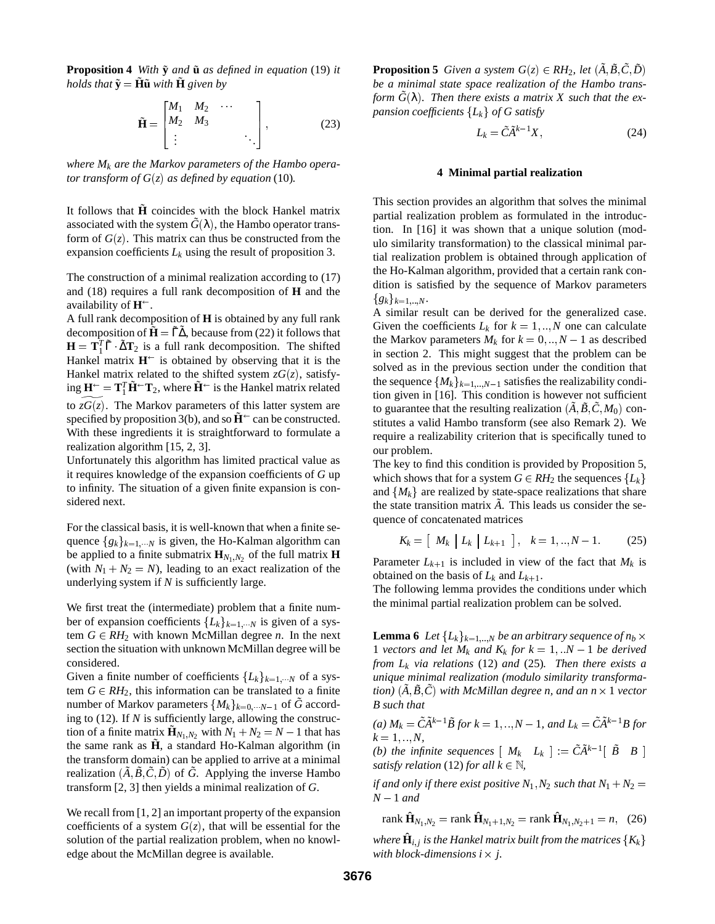**Proposition 4** *With*  $\tilde{y}$  *and*  $\tilde{u}$  *as defined in equation* (19) *it holds that*  $\tilde{\mathbf{y}} = \tilde{\mathbf{H}}\tilde{\mathbf{u}}$  *with*  $\tilde{\mathbf{H}}$  *given by* 

 $\sim$  200  $\sim$  200  $\sim$  200  $\sim$  200  $\sim$ 

$$
\widetilde{\mathbf{H}} = \begin{bmatrix} M_1 & M_2 & \cdots & \\ M_2 & M_3 & & \\ \vdots & & & \ddots \end{bmatrix},\tag{23}
$$

<sup>3</sup>

*where Mk are the Markov parameters of the Hambo operator transform of*  $G(z)$  *as defined by equation* (10)*.* 

It follows that  $\tilde{H}$  coincides with the block Hankel matrix associated with the system  $\tilde{G}(\lambda)$ , the Hambo operator transform of  $G(z)$ . This matrix can thus be constructed from the expansion coefficients  $L_k$  using the result of proposition 3.

The construction of a minimal realization according to (17) and (18) requires a full rank decomposition of **H** and the availability of **H** .

A full rank decomposition of **H** is obtained by any full rank decomposition of  $\tilde{\mathbf{H}} = \tilde{\Gamma} \tilde{\Delta}$ , because from (22) it follows that  $\mathbf{H} = \mathbf{T}_1^T \tilde{\Gamma} \cdot \tilde{\Delta} \mathbf{T}_2$  is a full rank decomposition. The shifted Hankel matrix  $H^{\leftarrow}$  is obtained by observing that it is the Hankel matrix related to the shifted system  $zG(z)$ , satisfy- $\mathbf{H}^{\leftarrow} = \mathbf{T}_1^T \tilde{\mathbf{H}}^{\leftarrow} \mathbf{T}_2$ , where  $\tilde{\mathbf{H}}^{\leftarrow}$  is the Hankel matrix related to  $z\overline{G(z)}$ . The Markov parameters of this latter system are specified by proposition 3(b), and so  $\tilde{H}^{\leftarrow}$  can be constructed. With these ingredients it is straightforward to formulate a realization algorithm [15, 2, 3].

Unfortunately this algorithm has limited practical value as it requires knowledge of the expansion coefficients of *G* up to infinity. The situation of a given finite expansion is considered next.

For the classical basis, it is well-known that when a finite sequence  ${g_k}_{k=1,\dots N}$  is given, the Ho-Kalman algorithm can be applied to a finite submatrix  $\mathbf{H}_{N_1,N_2}$  of the full matrix **H** (with  $N_1 + N_2 = N$ ), leading to an exact realization of the underlying system if *N* is sufficiently large.

We first treat the (intermediate) problem that a finite number of expansion coefficients  ${L_k}_{k=1,\dots N}$  is given of a system  $G \in RH_2$  with known McMillan degree *n*. In the next section the situation with unknown McMillan degree will be considered.

Given a finite number of coefficients  ${L_k}_{k=1,\cdots N}$  of a system  $G \in RH_2$ , this information can be translated to a finite number of Markov parameters  $\{M_k\}_{k=0,\dots,N-1}$  of  $\tilde{G}$  according to (12). If *N* is sufficiently large, allowing the construction of a finite matrix  $\mathbf{\tilde{H}}_{N_1,N_2}$  with  $N_1 + N_2 = N - 1$  that has the same rank as  $\tilde{H}$ , a standard Ho-Kalman algorithm (in the transform domain) can be applied to arrive at a minimal realization  $(\tilde{A}, \tilde{B}, \tilde{C}, \tilde{D})$  of  $\tilde{G}$ . Applying the inverse Hambo transform [2, 3] then yields a minimal realization of *G*.

We recall from [1, 2] an important property of the expansion coefficients of a system  $G(z)$ , that will be essential for the solution of the partial realization problem, when no knowledge about the McMillan degree is available.

**Proposition 5** *Given a system*  $G(z) \in RH_2$ *, let*  $(\tilde{A}, \tilde{B}, \tilde{C}, \tilde{D})$ *be a minimal state space realization of the Hambo transform*  $\tilde{G}(\lambda)$ . Then there exists a matrix X such that the ex*pansion coefficients*  ${L_k}$  *of G satisfy* 

$$
L_k = \tilde{C}\tilde{A}^{k-1}X,\tag{24}
$$

### **4 Minimal partial realization**

This section provides an algorithm that solves the minimal partial realization problem as formulated in the introduction. In [16] it was shown that a unique solution (modulo similarity transformation) to the classical minimal partial realization problem is obtained through application of the Ho-Kalman algorithm, provided that a certain rank condition is satisfied by the sequence of Markov parameters  ${g_k}_{k=1...N}$ .

A similar result can be derived for the generalized case. Given the coefficients  $L_k$  for  $k = 1, \ldots, N$  one can calculate the Markov parameters  $M_k$  for  $k = 0, ..., N - 1$  as described in section 2. This might suggest that the problem can be solved as in the previous section under the condition that the sequence  ${M_k}_{k=1,...N-1}$  satisfies the realizability condition given in [16]. This condition is however not sufficient to guarantee that the resulting realization  $(\tilde{A}, \tilde{B}, \tilde{C}, M_0)$  constitutes a valid Hambo transform (see also Remark 2). We require a realizability criterion that is specifically tuned to our problem.

The key to find this condition is provided by Proposition 5, which shows that for a system  $G \in RH_2$  the sequences  $\{L_k\}$ and  ${M_k}$  are realized by state-space realizations that share the state transition matrix  $\tilde{A}$ . This leads us consider the sequence of concatenated matrices

$$
K_k = [M_k | L_k | L_{k+1}], k = 1, ..., N-1.
$$
 (25)

Parameter  $L_{k+1}$  is included in view of the fact that  $M_k$  is obtained on the basis of  $L_k$  and  $L_{k+1}$ .

The following lemma provides the conditions under which the minimal partial realization problem can be solved.

**Lemma 6** *Let*  ${L_k}_{k=1...N}$  *be an arbitrary sequence of*  $n_b \times$ 1 *vectors and let*  $M_k$  *and*  $K_k$  *for*  $k = 1, \ldots N - 1$  *be derived from Lk via relations* (12) *and* (25)*. Then there exists a unique minimal realization (modulo similarity transformation*)  $(\tilde{A}, \tilde{B}, \tilde{C})$  *with McMillan degree n, and an n*  $\times$  1 *vector B such that*

 $(a) M_k = \tilde{C} \tilde{A}^{k-1} \tilde{B}$  for  $k = 1, ..., N - 1$ , and  $L_k = \tilde{C} \tilde{A}^{k-1} B$  for  $k = 1, ..., N$ ,

*(b)* the infinite sequences  $[M_k \ L_k] := \tilde{C} \tilde{A}^{k-1} [\tilde{B} \ B]$ *satisfy relation* (12) *for all*  $k \in \mathbb{N}$ *,* 

*if and only if there exist positive*  $N_1$ ,  $N_2$  *such that*  $N_1 + N_2 =$  $N-1$  *and* 

rank  $\hat{\mathbf{H}}_{N_1,N_2}$  = rank  $\hat{\mathbf{H}}_{N_1+1,N_2}$  = rank  $\hat{\mathbf{H}}_{N_1,N_2+1}$  = *n*, (26)

*where*  $\hat{\mathbf{H}}_{i,j}$  *is the Hankel matrix built from the matrices*  $\{K_k\}$ *with block-dimensions*  $i \times j$ *. j.*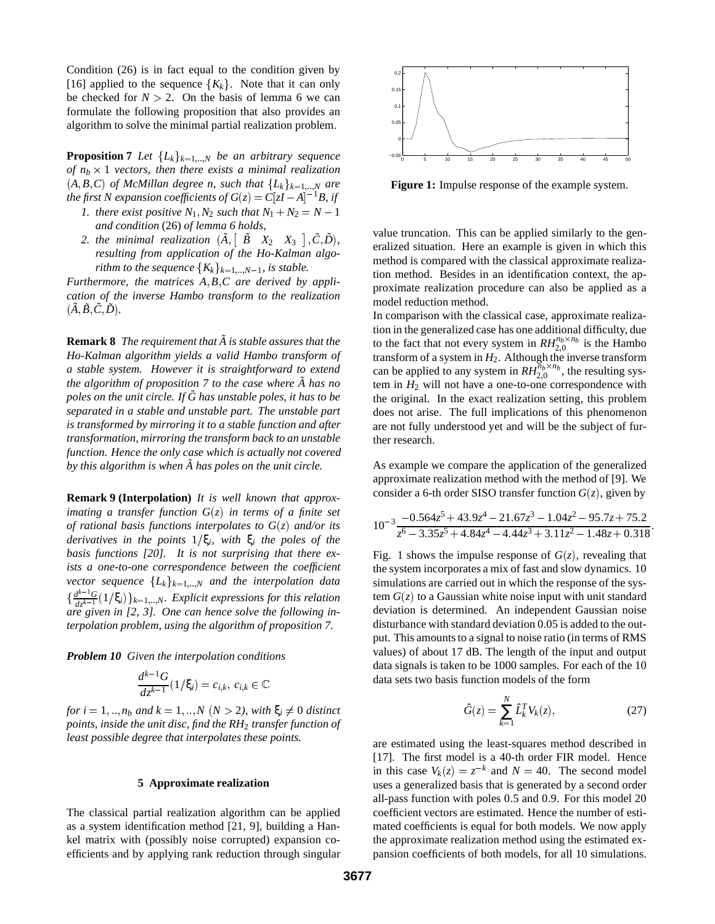Condition (26) is in fact equal to the condition given by [16] applied to the sequence  ${K_k}$ . Note that it can only be checked for  $N > 2$ . On the basis of lemma 6 we can formulate the following proposition that also provides an algorithm to solve the minimal partial realization problem.

**Proposition 7** *Let*  ${L_k}_{k=1,...,N}$  *be an arbitrary sequence* of  $n_b \times 1$  *vectors, then there exists a minimal realization*  $(A, B, C)$  *of McMillan degree n, such that*  ${L_k}_{k=1...N}$  *are the first N expansion coefficients of*  $G(z) = C[zI - A]^{-1}B$ *, if* 

- *1. there exist positive*  $N_1$ ,  $N_2$  *such that*  $N_1 + N_2 = N 1$ *and condition* (26) *of lemma 6 holds,*
- 2. the minimal realization  $(\tilde{A}, \begin{bmatrix} \tilde{B} & X_2 & X_3 \end{bmatrix}, \tilde{C}, \tilde{D})$ , *resulting from application of the Ho-Kalman algorithm to the sequence*  ${K_k}_{k=1,..,N-1}$ *, is stable.*

*Furthermore, the matrices A*; *B*; *C are derived by application of the inverse Hambo transform to the realization*  $(\tilde{A}, \tilde{B}, \tilde{C}, \tilde{D})$ .

**Remark 8** *The requirement that*  $\tilde{A}$  *is stable assures that the Ho-Kalman algorithm yields a valid Hambo transform of a stable system. However it is straightforward to extend the algorithm of proposition 7 to the case where*  $\tilde{A}$  has no *poles on the unit circle. If*  $\tilde{G}$  has unstable poles, it has to be *separated in a stable and unstable part. The unstable part is transformed by mirroring it to a stable function and after transformation, mirroring the transform back to an unstable function. Hence the only case which is actually not covered by this algorithm is when*  $\tilde{A}$  *has poles on the unit circle.* 

**Remark 9 (Interpolation)** *It is well known that approximating a transfer function G*(*z*) *in terms of a finite set of rational basis functions interpolates to G*(*z*) *and/or its derivatives in the points*  $1/\xi_i$ , with  $\xi_i$  *the poles of the basis functions [20]. It is not surprising that there exists a one-to-one correspondence between the coefficient vector sequence*  ${L_k}_{k=1,...,N}$  *and the interpolation data*  $\{\frac{d^{k-1}G}{dz^{k-1}}(1/\xi_i)\}_{k=1,\dots,N}$ . Explicit expressions for this relation *are given in [2, 3]. One can hence solve the following interpolation problem, using the algorithm of proposition 7.*

*Problem 10 Given the interpolation conditions*

$$
\frac{d^{k-1}G}{dz^{k-1}}(1/\xi_i)=c_{i,k},\ c_{i,k}\in\mathbb{C}
$$

*for*  $i = 1, \ldots, n_b$  *and*  $k = 1, \ldots, N$  ( $N > 2$ ), with  $\xi_i \neq 0$  *distinct points, inside the unit disc, find the RH*<sup>2</sup> *transfer function of least possible degree that interpolates these points.*

## **5 Approximate realization**

The classical partial realization algorithm can be applied as a system identification method [21, 9], building a Hankel matrix with (possibly noise corrupted) expansion coefficients and by applying rank reduction through singular



**Figure 1:** Impulse response of the example system.

value truncation. This can be applied similarly to the generalized situation. Here an example is given in which this method is compared with the classical approximate realization method. Besides in an identification context, the approximate realization procedure can also be applied as a model reduction method.

In comparison with the classical case, approximate realization in the generalized case has one additional difficulty, due to the fact that not every system in  $RH_{2,0}^{n_b \times n_b}$  is the Hambo transform of a system in  $H_2$ . Although the inverse transform can be applied to any system in  $RH_{2,0}^{\overline{n}_b \times n_b}$ , the resulting system in  $H_2$  will not have a one-to-one correspondence with the original. In the exact realization setting, this problem does not arise. The full implications of this phenomenon are not fully understood yet and will be the subject of further research.

As example we compare the application of the generalized approximate realization method with the method of [9]. We consider a 6-th order SISO transfer function  $G(z)$ , given by

$$
10^{-3} \frac{-0.564z^{5} + 43.9z^{4} - 21.67z^{3} - 1.04z^{2} - 95.7z + 75.2}{z^{6} - 3.35z^{5} + 4.84z^{4} - 4.44z^{3} + 3.11z^{2} - 1.48z + 0.318}
$$

Fig. 1 shows the impulse response of  $G(z)$ , revealing that the system incorporates a mix of fast and slow dynamics. 10 simulations are carried out in which the response of the system  $G(z)$  to a Gaussian white noise input with unit standard deviation is determined. An independent Gaussian noise disturbance with standard deviation 0.05 is added to the output. This amounts to a signal to noise ratio (in terms of RMS values) of about 17 dB. The length of the input and output data signals is taken to be 1000 samples. For each of the 10 data sets two basis function models of the form

$$
\hat{G}(z) = \sum_{k=1}^{N} \hat{L}_k^T V_k(z),\tag{27}
$$

are estimated using the least-squares method described in [17]. The first model is a 40-th order FIR model. Hence in this case  $V_k(z) = z^{-k}$  and  $N = 40$ . The second model uses a generalized basis that is generated by a second order all-pass function with poles 0:5 and 0:9. For this model 20 coefficient vectors are estimated. Hence the number of estimated coefficients is equal for both models. We now apply the approximate realization method using the estimated expansion coefficients of both models, for all 10 simulations.